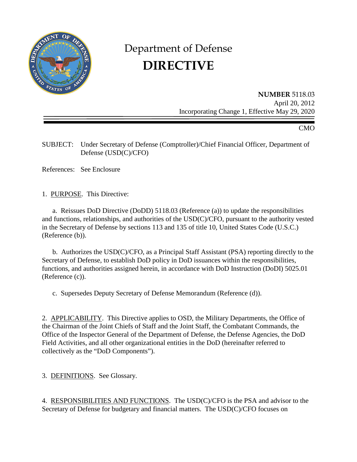

# Department of Defense **DIRECTIVE**

**NUMBER** 5118.03 April 20, 2012 Incorporating Change 1, Effective May 29, 2020

CMO

SUBJECT: Under Secretary of Defense (Comptroller)/Chief Financial Officer, Department of Defense (USD(C)/CFO)

References: See Enclosure

1. PURPOSE. This Directive:

a. Reissues DoD Directive (DoDD) 5118.03 (Reference (a)) to update the responsibilities and functions, relationships, and authorities of the USD(C)/CFO, pursuant to the authority vested in the Secretary of Defense by sections 113 and 135 of title 10, United States Code (U.S.C.) (Reference (b)).

b. Authorizes the USD(C)/CFO, as a Principal Staff Assistant (PSA) reporting directly to the Secretary of Defense, to establish DoD policy in DoD issuances within the responsibilities, functions, and authorities assigned herein, in accordance with DoD Instruction (DoDI) 5025.01 (Reference (c)).

c. Supersedes Deputy Secretary of Defense Memorandum (Reference (d)).

2. APPLICABILITY. This Directive applies to OSD, the Military Departments, the Office of the Chairman of the Joint Chiefs of Staff and the Joint Staff, the Combatant Commands, the Office of the Inspector General of the Department of Defense, the Defense Agencies, the DoD Field Activities, and all other organizational entities in the DoD (hereinafter referred to collectively as the "DoD Components").

3. DEFINITIONS. See Glossary.

4. RESPONSIBILITIES AND FUNCTIONS. The USD(C)/CFO is the PSA and advisor to the Secretary of Defense for budgetary and financial matters. The USD(C)/CFO focuses on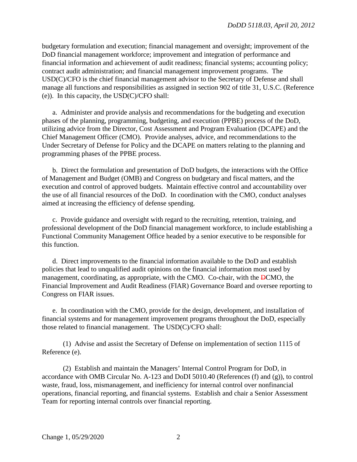budgetary formulation and execution; financial management and oversight; improvement of the DoD financial management workforce; improvement and integration of performance and financial information and achievement of audit readiness; financial systems; accounting policy; contract audit administration; and financial management improvement programs. The USD(C)/CFO is the chief financial management advisor to the Secretary of Defense and shall manage all functions and responsibilities as assigned in section 902 of title 31, U.S.C. (Reference (e)). In this capacity, the USD(C)/CFO shall:

a. Administer and provide analysis and recommendations for the budgeting and execution phases of the planning, programming, budgeting, and execution (PPBE) process of the DoD, utilizing advice from the Director, Cost Assessment and Program Evaluation (DCAPE) and the Chief Management Officer (CMO). Provide analyses, advice, and recommendations to the Under Secretary of Defense for Policy and the DCAPE on matters relating to the planning and programming phases of the PPBE process.

b. Direct the formulation and presentation of DoD budgets, the interactions with the Office of Management and Budget (OMB) and Congress on budgetary and fiscal matters, and the execution and control of approved budgets. Maintain effective control and accountability over the use of all financial resources of the DoD. In coordination with the CMO, conduct analyses aimed at increasing the efficiency of defense spending.

c. Provide guidance and oversight with regard to the recruiting, retention, training, and professional development of the DoD financial management workforce, to include establishing a Functional Community Management Office headed by a senior executive to be responsible for this function.

d. Direct improvements to the financial information available to the DoD and establish policies that lead to unqualified audit opinions on the financial information most used by management, coordinating, as appropriate, with the CMO. Co-chair, with the DCMO, the Financial Improvement and Audit Readiness (FIAR) Governance Board and oversee reporting to Congress on FIAR issues.

e. In coordination with the CMO, provide for the design, development, and installation of financial systems and for management improvement programs throughout the DoD, especially those related to financial management. The USD(C)/CFO shall:

(1) Advise and assist the Secretary of Defense on implementation of section 1115 of Reference (e).

(2) Establish and maintain the Managers' Internal Control Program for DoD, in accordance with OMB Circular No. A-123 and DoDI 5010.40 (References (f) and (g)), to control waste, fraud, loss, mismanagement, and inefficiency for internal control over nonfinancial operations, financial reporting, and financial systems. Establish and chair a Senior Assessment Team for reporting internal controls over financial reporting.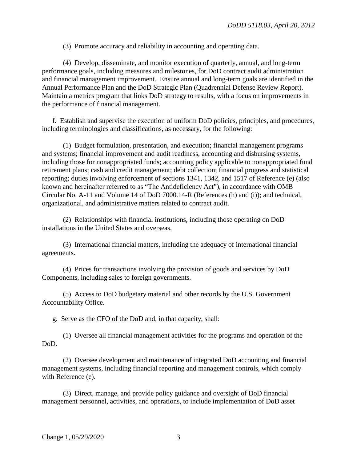(3) Promote accuracy and reliability in accounting and operating data.

(4) Develop, disseminate, and monitor execution of quarterly, annual, and long-term performance goals, including measures and milestones, for DoD contract audit administration and financial management improvement. Ensure annual and long-term goals are identified in the Annual Performance Plan and the DoD Strategic Plan (Quadrennial Defense Review Report). Maintain a metrics program that links DoD strategy to results, with a focus on improvements in the performance of financial management.

f. Establish and supervise the execution of uniform DoD policies, principles, and procedures, including terminologies and classifications, as necessary, for the following:

(1) Budget formulation, presentation, and execution; financial management programs and systems; financial improvement and audit readiness, accounting and disbursing systems, including those for nonappropriated funds; accounting policy applicable to nonappropriated fund retirement plans; cash and credit management; debt collection; financial progress and statistical reporting; duties involving enforcement of sections 1341, 1342, and 1517 of Reference (e) (also known and hereinafter referred to as "The Antideficiency Act"), in accordance with OMB Circular No. A-11 and Volume 14 of DoD 7000.14-R (References (h) and (i)); and technical, organizational, and administrative matters related to contract audit.

(2) Relationships with financial institutions, including those operating on DoD installations in the United States and overseas.

(3) International financial matters, including the adequacy of international financial agreements.

(4) Prices for transactions involving the provision of goods and services by DoD Components, including sales to foreign governments.

(5) Access to DoD budgetary material and other records by the U.S. Government Accountability Office.

g. Serve as the CFO of the DoD and, in that capacity, shall:

(1) Oversee all financial management activities for the programs and operation of the DoD.

(2) Oversee development and maintenance of integrated DoD accounting and financial management systems, including financial reporting and management controls, which comply with Reference (e).

(3) Direct, manage, and provide policy guidance and oversight of DoD financial management personnel, activities, and operations, to include implementation of DoD asset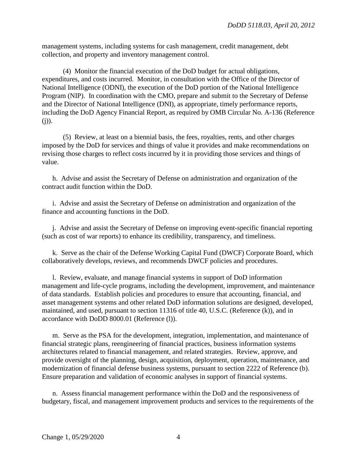management systems, including systems for cash management, credit management, debt collection, and property and inventory management control.

(4) Monitor the financial execution of the DoD budget for actual obligations, expenditures, and costs incurred. Monitor, in consultation with the Office of the Director of National Intelligence (ODNI), the execution of the DoD portion of the National Intelligence Program (NIP). In coordination with the CMO, prepare and submit to the Secretary of Defense and the Director of National Intelligence (DNI), as appropriate, timely performance reports, including the DoD Agency Financial Report, as required by OMB Circular No. A-136 (Reference  $(i)$ ).

(5) Review, at least on a biennial basis, the fees, royalties, rents, and other charges imposed by the DoD for services and things of value it provides and make recommendations on revising those charges to reflect costs incurred by it in providing those services and things of value.

h. Advise and assist the Secretary of Defense on administration and organization of the contract audit function within the DoD.

i. Advise and assist the Secretary of Defense on administration and organization of the finance and accounting functions in the DoD.

j. Advise and assist the Secretary of Defense on improving event-specific financial reporting (such as cost of war reports) to enhance its credibility, transparency, and timeliness.

k. Serve as the chair of the Defense Working Capital Fund (DWCF) Corporate Board, which collaboratively develops, reviews, and recommends DWCF policies and procedures.

l. Review, evaluate, and manage financial systems in support of DoD information management and life-cycle programs, including the development, improvement, and maintenance of data standards. Establish policies and procedures to ensure that accounting, financial, and asset management systems and other related DoD information solutions are designed, developed, maintained, and used, pursuant to section 11316 of title 40, U.S.C. (Reference (k)), and in accordance with DoDD 8000.01 (Reference (l)).

m. Serve as the PSA for the development, integration, implementation, and maintenance of financial strategic plans, reengineering of financial practices, business information systems architectures related to financial management, and related strategies. Review, approve, and provide oversight of the planning, design, acquisition, deployment, operation, maintenance, and modernization of financial defense business systems, pursuant to section 2222 of Reference (b). Ensure preparation and validation of economic analyses in support of financial systems.

n. Assess financial management performance within the DoD and the responsiveness of budgetary, fiscal, and management improvement products and services to the requirements of the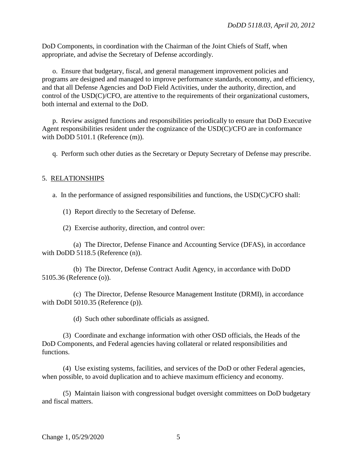DoD Components, in coordination with the Chairman of the Joint Chiefs of Staff, when appropriate, and advise the Secretary of Defense accordingly.

o. Ensure that budgetary, fiscal, and general management improvement policies and programs are designed and managed to improve performance standards, economy, and efficiency, and that all Defense Agencies and DoD Field Activities, under the authority, direction, and control of the USD(C)/CFO, are attentive to the requirements of their organizational customers, both internal and external to the DoD.

p. Review assigned functions and responsibilities periodically to ensure that DoD Executive Agent responsibilities resident under the cognizance of the USD(C)/CFO are in conformance with DoDD 5101.1 (Reference (m)).

q. Perform such other duties as the Secretary or Deputy Secretary of Defense may prescribe.

#### 5. RELATIONSHIPS

a. In the performance of assigned responsibilities and functions, the USD(C)/CFO shall:

(1) Report directly to the Secretary of Defense.

(2) Exercise authority, direction, and control over:

(a) The Director, Defense Finance and Accounting Service (DFAS), in accordance with DoDD 5118.5 (Reference (n)).

(b) The Director, Defense Contract Audit Agency, in accordance with DoDD 5105.36 (Reference (o)).

(c) The Director, Defense Resource Management Institute (DRMI), in accordance with DoDI 5010.35 (Reference (p)).

(d) Such other subordinate officials as assigned.

(3) Coordinate and exchange information with other OSD officials, the Heads of the DoD Components, and Federal agencies having collateral or related responsibilities and functions.

(4) Use existing systems, facilities, and services of the DoD or other Federal agencies, when possible, to avoid duplication and to achieve maximum efficiency and economy.

(5) Maintain liaison with congressional budget oversight committees on DoD budgetary and fiscal matters.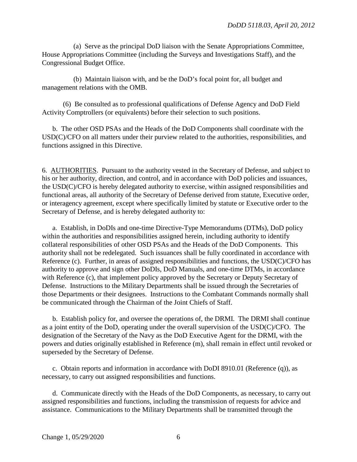(a) Serve as the principal DoD liaison with the Senate Appropriations Committee, House Appropriations Committee (including the Surveys and Investigations Staff), and the Congressional Budget Office.

(b) Maintain liaison with, and be the DoD's focal point for, all budget and management relations with the OMB.

(6) Be consulted as to professional qualifications of Defense Agency and DoD Field Activity Comptrollers (or equivalents) before their selection to such positions.

b. The other OSD PSAs and the Heads of the DoD Components shall coordinate with the USD(C)/CFO on all matters under their purview related to the authorities, responsibilities, and functions assigned in this Directive.

6. AUTHORITIES. Pursuant to the authority vested in the Secretary of Defense, and subject to his or her authority, direction, and control, and in accordance with DoD policies and issuances, the USD(C)/CFO is hereby delegated authority to exercise, within assigned responsibilities and functional areas, all authority of the Secretary of Defense derived from statute, Executive order, or interagency agreement, except where specifically limited by statute or Executive order to the Secretary of Defense, and is hereby delegated authority to:

a. Establish, in DoDIs and one-time Directive-Type Memorandums (DTMs), DoD policy within the authorities and responsibilities assigned herein, including authority to identify collateral responsibilities of other OSD PSAs and the Heads of the DoD Components. This authority shall not be redelegated. Such issuances shall be fully coordinated in accordance with Reference (c). Further, in areas of assigned responsibilities and functions, the USD(C)/CFO has authority to approve and sign other DoDIs, DoD Manuals, and one-time DTMs, in accordance with Reference (c), that implement policy approved by the Secretary or Deputy Secretary of Defense. Instructions to the Military Departments shall be issued through the Secretaries of those Departments or their designees. Instructions to the Combatant Commands normally shall be communicated through the Chairman of the Joint Chiefs of Staff.

b. Establish policy for, and oversee the operations of, the DRMI. The DRMI shall continue as a joint entity of the DoD, operating under the overall supervision of the USD(C)/CFO. The designation of the Secretary of the Navy as the DoD Executive Agent for the DRMI, with the powers and duties originally established in Reference (m), shall remain in effect until revoked or superseded by the Secretary of Defense.

c. Obtain reports and information in accordance with DoDI 8910.01 (Reference (q)), as necessary, to carry out assigned responsibilities and functions.

d. Communicate directly with the Heads of the DoD Components, as necessary, to carry out assigned responsibilities and functions, including the transmission of requests for advice and assistance. Communications to the Military Departments shall be transmitted through the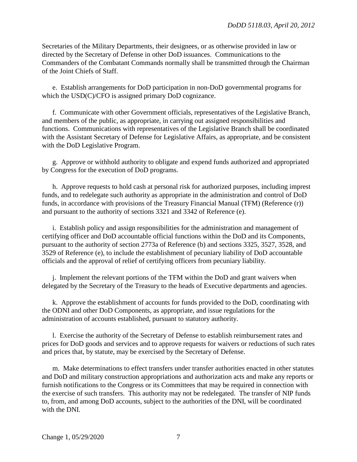Secretaries of the Military Departments, their designees, or as otherwise provided in law or directed by the Secretary of Defense in other DoD issuances. Communications to the Commanders of the Combatant Commands normally shall be transmitted through the Chairman of the Joint Chiefs of Staff.

e. Establish arrangements for DoD participation in non-DoD governmental programs for which the USD(C)/CFO is assigned primary DoD cognizance.

f. Communicate with other Government officials, representatives of the Legislative Branch, and members of the public, as appropriate, in carrying out assigned responsibilities and functions. Communications with representatives of the Legislative Branch shall be coordinated with the Assistant Secretary of Defense for Legislative Affairs, as appropriate, and be consistent with the DoD Legislative Program.

g. Approve or withhold authority to obligate and expend funds authorized and appropriated by Congress for the execution of DoD programs.

h. Approve requests to hold cash at personal risk for authorized purposes, including imprest funds, and to redelegate such authority as appropriate in the administration and control of DoD funds, in accordance with provisions of the Treasury Financial Manual (TFM) (Reference (r)) and pursuant to the authority of sections 3321 and 3342 of Reference (e).

i. Establish policy and assign responsibilities for the administration and management of certifying officer and DoD accountable official functions within the DoD and its Components, pursuant to the authority of section 2773a of Reference (b) and sections 3325, 3527, 3528, and 3529 of Reference (e), to include the establishment of pecuniary liability of DoD accountable officials and the approval of relief of certifying officers from pecuniary liability.

j. Implement the relevant portions of the TFM within the DoD and grant waivers when delegated by the Secretary of the Treasury to the heads of Executive departments and agencies.

k. Approve the establishment of accounts for funds provided to the DoD, coordinating with the ODNI and other DoD Components, as appropriate, and issue regulations for the administration of accounts established, pursuant to statutory authority.

l. Exercise the authority of the Secretary of Defense to establish reimbursement rates and prices for DoD goods and services and to approve requests for waivers or reductions of such rates and prices that, by statute, may be exercised by the Secretary of Defense.

m. Make determinations to effect transfers under transfer authorities enacted in other statutes and DoD and military construction appropriations and authorization acts and make any reports or furnish notifications to the Congress or its Committees that may be required in connection with the exercise of such transfers. This authority may not be redelegated. The transfer of NIP funds to, from, and among DoD accounts, subject to the authorities of the DNI, will be coordinated with the DNI.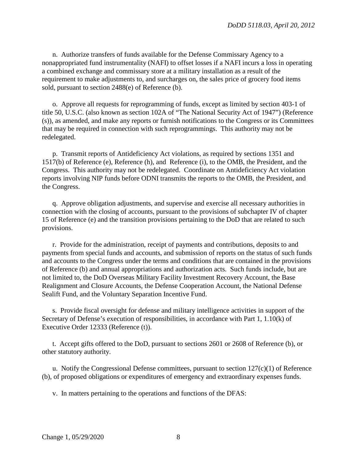n. Authorize transfers of funds available for the Defense Commissary Agency to a nonappropriated fund instrumentality (NAFI) to offset losses if a NAFI incurs a loss in operating a combined exchange and commissary store at a military installation as a result of the requirement to make adjustments to, and surcharges on, the sales price of grocery food items sold, pursuant to section 2488(e) of Reference (b).

o. Approve all requests for reprogramming of funds, except as limited by section 403-1 of title 50, U.S.C. (also known as section 102A of "The National Security Act of 1947") (Reference (s)), as amended, and make any reports or furnish notifications to the Congress or its Committees that may be required in connection with such reprogrammings. This authority may not be redelegated.

p. Transmit reports of Antideficiency Act violations, as required by sections 1351 and 1517(b) of Reference (e), Reference (h), and Reference (i), to the OMB, the President, and the Congress. This authority may not be redelegated. Coordinate on Antideficiency Act violation reports involving NIP funds before ODNI transmits the reports to the OMB, the President, and the Congress.

q. Approve obligation adjustments, and supervise and exercise all necessary authorities in connection with the closing of accounts, pursuant to the provisions of subchapter IV of chapter 15 of Reference (e) and the transition provisions pertaining to the DoD that are related to such provisions.

r. Provide for the administration, receipt of payments and contributions, deposits to and payments from special funds and accounts, and submission of reports on the status of such funds and accounts to the Congress under the terms and conditions that are contained in the provisions of Reference (b) and annual appropriations and authorization acts. Such funds include, but are not limited to, the DoD Overseas Military Facility Investment Recovery Account, the Base Realignment and Closure Accounts, the Defense Cooperation Account, the National Defense Sealift Fund, and the Voluntary Separation Incentive Fund.

s. Provide fiscal oversight for defense and military intelligence activities in support of the Secretary of Defense's execution of responsibilities, in accordance with Part 1, 1.10(k) of Executive Order 12333 (Reference (t)).

t. Accept gifts offered to the DoD, pursuant to sections 2601 or 2608 of Reference (b), or other statutory authority.

u. Notify the Congressional Defense committees, pursuant to section  $127(c)(1)$  of Reference (b), of proposed obligations or expenditures of emergency and extraordinary expenses funds.

v. In matters pertaining to the operations and functions of the DFAS: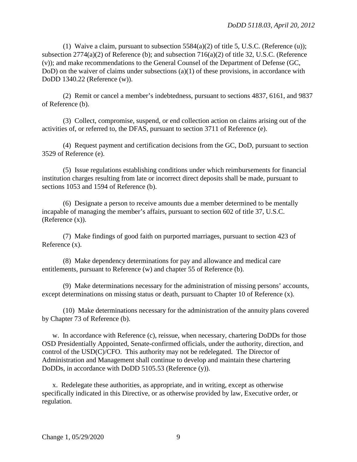(1) Waive a claim, pursuant to subsection  $5584(a)(2)$  of title 5, U.S.C. (Reference (u)); subsection 2774(a)(2) of Reference (b); and subsection 716(a)(2) of title 32, U.S.C. (Reference (v)); and make recommendations to the General Counsel of the Department of Defense (GC, DoD) on the waiver of claims under subsections (a)(1) of these provisions, in accordance with DoDD 1340.22 (Reference (w)).

(2) Remit or cancel a member's indebtedness, pursuant to sections 4837, 6161, and 9837 of Reference (b).

(3) Collect, compromise, suspend, or end collection action on claims arising out of the activities of, or referred to, the DFAS, pursuant to section 3711 of Reference (e).

(4) Request payment and certification decisions from the GC, DoD, pursuant to section 3529 of Reference (e).

(5) Issue regulations establishing conditions under which reimbursements for financial institution charges resulting from late or incorrect direct deposits shall be made, pursuant to sections 1053 and 1594 of Reference (b).

(6) Designate a person to receive amounts due a member determined to be mentally incapable of managing the member's affairs, pursuant to section 602 of title 37, U.S.C. (Reference (x)).

(7) Make findings of good faith on purported marriages, pursuant to section 423 of Reference (x).

(8) Make dependency determinations for pay and allowance and medical care entitlements, pursuant to Reference (w) and chapter 55 of Reference (b).

(9) Make determinations necessary for the administration of missing persons' accounts, except determinations on missing status or death, pursuant to Chapter 10 of Reference (x).

(10) Make determinations necessary for the administration of the annuity plans covered by Chapter 73 of Reference (b).

w. In accordance with Reference (c), reissue, when necessary, chartering DoDDs for those OSD Presidentially Appointed, Senate-confirmed officials, under the authority, direction, and control of the USD(C)/CFO. This authority may not be redelegated. The Director of Administration and Management shall continue to develop and maintain these chartering DoDDs, in accordance with DoDD 5105.53 (Reference (y)).

x. Redelegate these authorities, as appropriate, and in writing, except as otherwise specifically indicated in this Directive, or as otherwise provided by law, Executive order, or regulation.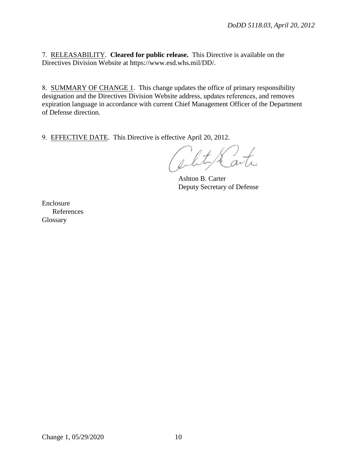7. RELEASABILITY. **Cleared for public release.** This Directive is available on the Directives Division Website at https://www.esd.whs.mil/DD/.

8. SUMMARY OF CHANGE 1. This change updates the office of primary responsibility designation and the Directives Division Website address, updates references, and removes expiration language in accordance with current Chief Management Officer of the Department of Defense direction.

9. EFFECTIVE DATE. This Directive is effective April 20, 2012.

the art.

Ashton B. Carter Deputy Secretary of Defense

Enclosure References **Glossary**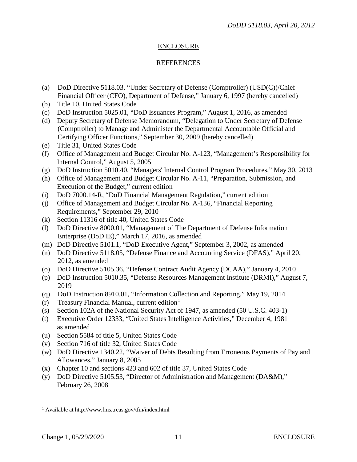### ENCLOSURE

### REFERENCES

- (a) DoD Directive 5118.03, "Under Secretary of Defense (Comptroller) (USD(C))/Chief Financial Officer (CFO), Department of Defense," January 6, 1997 (hereby cancelled)
- (b) Title 10, United States Code
- (c) DoD Instruction 5025.01, "DoD Issuances Program," August 1, 2016, as amended
- (d) Deputy Secretary of Defense Memorandum, "Delegation to Under Secretary of Defense (Comptroller) to Manage and Administer the Departmental Accountable Official and Certifying Officer Functions," September 30, 2009 (hereby cancelled)
- (e) Title 31, United States Code
- (f) Office of Management and Budget Circular No. A-123, "Management's Responsibility for Internal Control," August 5, 2005
- (g) DoD Instruction 5010.40, "Managers' Internal Control Program Procedures," May 30, 2013
- (h) Office of Management and Budget Circular No. A-11, "Preparation, Submission, and Execution of the Budget," current edition
- (i) DoD 7000.14-R, "DoD Financial Management Regulation," current edition
- (j) Office of Management and Budget Circular No. A-136, "Financial Reporting Requirements," September 29, 2010
- (k) Section 11316 of title 40, United States Code
- (l) DoD Directive 8000.01, "Management of The Department of Defense Information Enterprise (DoD IE)," March 17, 2016, as amended
- (m) DoD Directive 5101.1, "DoD Executive Agent," September 3, 2002, as amended
- (n) DoD Directive 5118.05, "Defense Finance and Accounting Service (DFAS)," April 20, 2012, as amended
- (o) DoD Directive 5105.36, "Defense Contract Audit Agency (DCAA)," January 4, 2010
- (p) DoD Instruction 5010.35, "Defense Resources Management Institute (DRMI)," August 7, 2019
- (q) DoD Instruction 8910.01, "Information Collection and Reporting," May 19, 2014
- (r) Treasury Financial Manual, current edition<sup>[1](#page-10-0)</sup>
- (s) Section 102A of the National Security Act of 1947, as amended (50 U.S.C. 403-1)
- (t) Executive Order 12333, "United States Intelligence Activities," December 4, 1981 as amended
- (u) Section 5584 of title 5, United States Code
- (v) Section 716 of title 32, United States Code
- (w) DoD Directive 1340.22, "Waiver of Debts Resulting from Erroneous Payments of Pay and Allowances," January 8, 2005
- (x) Chapter 10 and sections 423 and 602 of title 37, United States Code
- (y) DoD Directive 5105.53, "Director of Administration and Management (DA&M)," February 26, 2008

<span id="page-10-0"></span> <sup>1</sup> Available at http://www.fms.treas.gov/tfm/index.html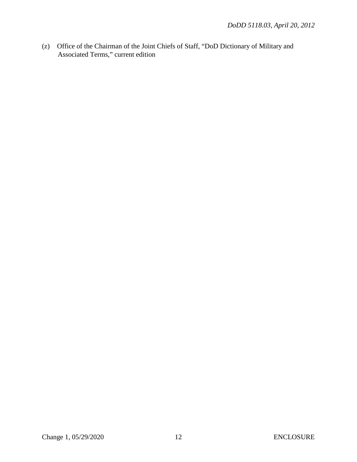(z) Office of the Chairman of the Joint Chiefs of Staff, "DoD Dictionary of Military and Associated Terms," current edition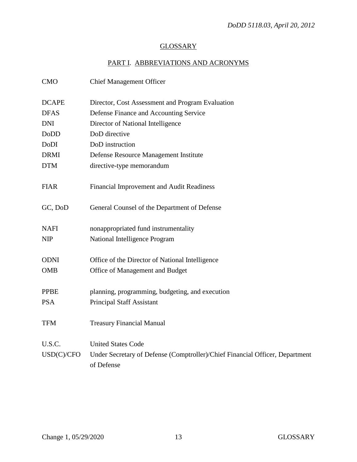# **GLOSSARY**

# PART I. ABBREVIATIONS AND ACRONYMS

| <b>CMO</b>   | <b>Chief Management Officer</b>                                              |
|--------------|------------------------------------------------------------------------------|
| <b>DCAPE</b> | Director, Cost Assessment and Program Evaluation                             |
| <b>DFAS</b>  | Defense Finance and Accounting Service                                       |
| <b>DNI</b>   | Director of National Intelligence                                            |
| <b>DoDD</b>  | DoD directive                                                                |
| DoDI         | DoD instruction                                                              |
| <b>DRMI</b>  | Defense Resource Management Institute                                        |
| <b>DTM</b>   | directive-type memorandum                                                    |
|              |                                                                              |
| <b>FIAR</b>  | Financial Improvement and Audit Readiness                                    |
|              |                                                                              |
| GC, DoD      | General Counsel of the Department of Defense                                 |
|              |                                                                              |
| <b>NAFI</b>  | nonappropriated fund instrumentality                                         |
| <b>NIP</b>   | National Intelligence Program                                                |
|              |                                                                              |
| <b>ODNI</b>  | Office of the Director of National Intelligence                              |
| <b>OMB</b>   | Office of Management and Budget                                              |
|              |                                                                              |
| <b>PPBE</b>  | planning, programming, budgeting, and execution                              |
| <b>PSA</b>   | <b>Principal Staff Assistant</b>                                             |
|              |                                                                              |
| <b>TFM</b>   | <b>Treasury Financial Manual</b>                                             |
| U.S.C.       | <b>United States Code</b>                                                    |
| USD(C)/CFO   | Under Secretary of Defense (Comptroller)/Chief Financial Officer, Department |
|              | of Defense                                                                   |
|              |                                                                              |